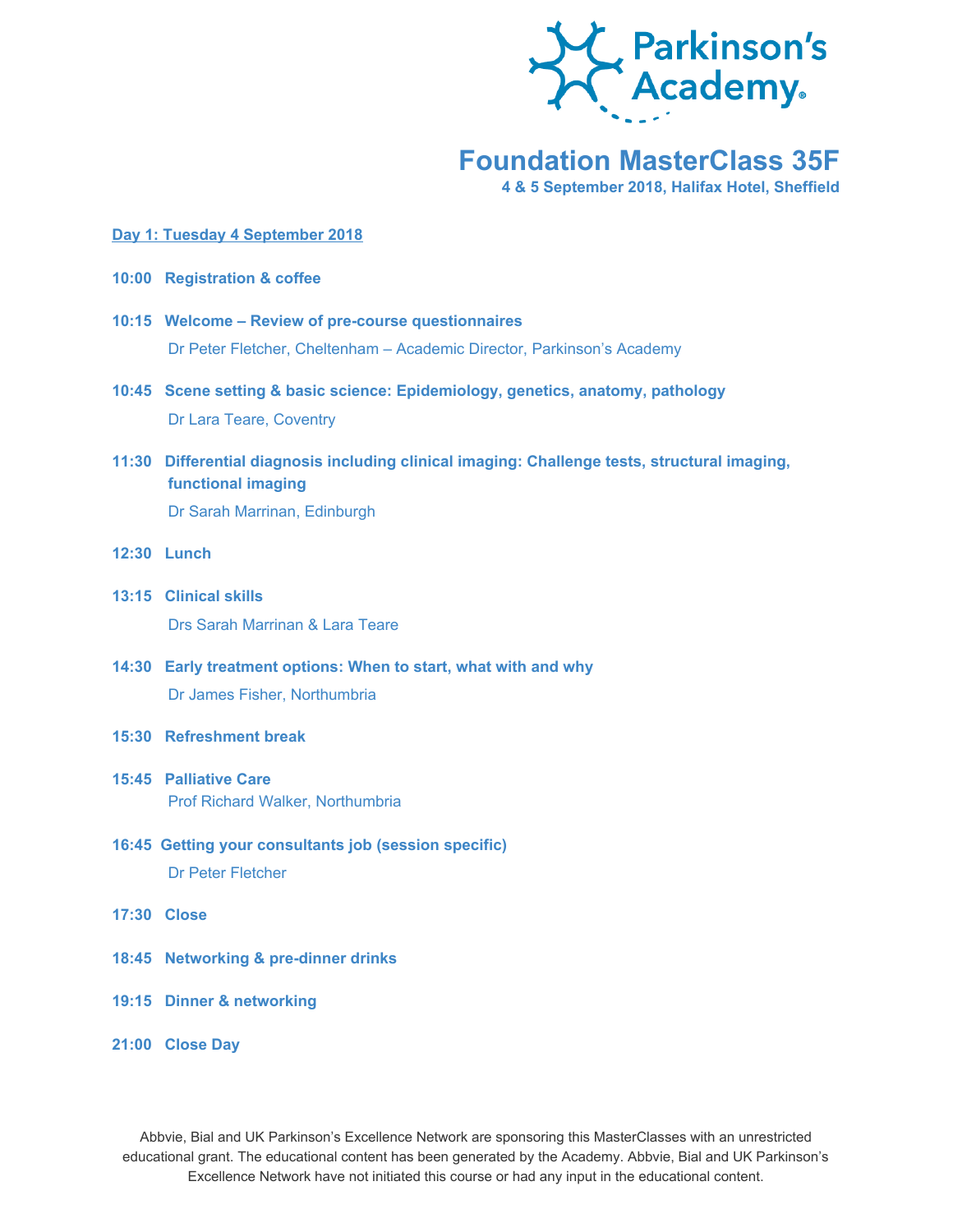

# **Foundation MasterClass 35F**

**4 & 5 September 2018, Halifax Hotel, Sheffield**

#### **Day 1: Tuesday 4 September 2018**

- **10:00 Registration & coffee**
- **10:15 Welcome – Review of pre-course questionnaires** Dr Peter Fletcher, Cheltenham – Academic Director, Parkinson's Academy
- **10:45 Scene setting & basic science: Epidemiology, genetics, anatomy, pathology** Dr Lara Teare, Coventry
- **11:30 Differential diagnosis including clinical imaging: Challenge tests, structural imaging, functional imaging** Dr Sarah Marrinan, Edinburgh
- **12:30 Lunch**
- **13:15 Clinical skills** Drs Sarah Marrinan & Lara Teare
- **14:30 Early treatment options: When to start, what with and why** Dr James Fisher, Northumbria
- **15:30 Refreshment break**
- **15:45 Palliative Care** Prof Richard Walker, Northumbria
- **16:45 Getting your consultants job (session specific)** Dr Peter Fletcher
- **17:30 Close**
- **18:45 Networking & pre-dinner drinks**
- **19:15 Dinner & networking**

## **21:00 Close Day**

Abbvie, Bial and UK Parkinson's Excellence Network are sponsoring this MasterClasses with an unrestricted educational grant. The educational content has been generated by the Academy. Abbvie, Bial and UK Parkinson's Excellence Network have not initiated this course or had any input in the educational content.